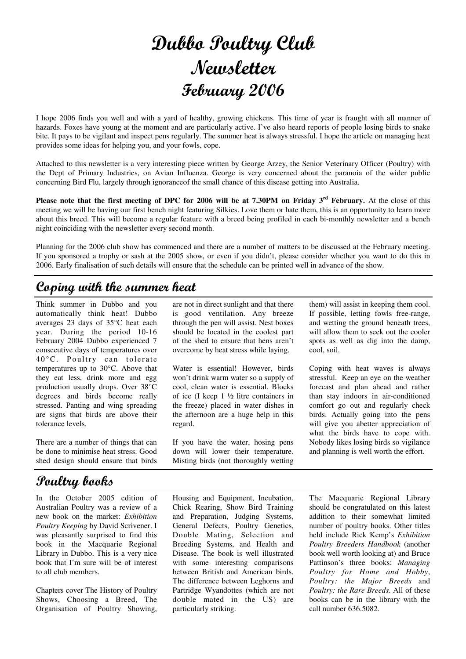## Dubbo Poultry Club Newsletter February 2006

I hope 2006 finds you well and with a yard of healthy, growing chickens. This time of year is fraught with all manner of hazards. Foxes have young at the moment and are particularly active. I've also heard reports of people losing birds to snake bite. It pays to be vigilant and inspect pens regularly. The summer heat is always stressful. I hope the article on managing heat provides some ideas for helping you, and your fowls, cope.

Attached to this newsletter is a very interesting piece written by George Arzey, the Senior Veterinary Officer (Poultry) with the Dept of Primary Industries, on Avian Influenza. George is very concerned about the paranoia of the wider public concerning Bird Flu, largely through ignoranceof the small chance of this disease getting into Australia.

Please note that the first meeting of DPC for 2006 will be at 7.30PM on Friday 3<sup>rd</sup> February. At the close of this meeting we will be having our first bench night featuring Silkies. Love them or hate them, this is an opportunity to learn more about this breed. This will become a regular feature with a breed being profiled in each bi-monthly newsletter and a bench night coinciding with the newsletter every second month.

Planning for the 2006 club show has commenced and there are a number of matters to be discussed at the February meeting. If you sponsored a trophy or sash at the 2005 show, or even if you didn't, please consider whether you want to do this in 2006. Early finalisation of such details will ensure that the schedule can be printed well in advance of the show.

## Coping with the summer heat

Think summer in Dubbo and you automatically think heat! Dubbo averages 23 days of 35°C heat each year. During the period 10-16 February 2004 Dubbo experienced 7 consecutive days of temperatures over  $40^{\circ}$ C. Poultry can tolerate temperatures up to 30°C. Above that they eat less, drink more and egg production usually drops. Over 38°C degrees and birds become really stressed. Panting and wing spreading are signs that birds are above their tolerance levels.

There are a number of things that can be done to minimise heat stress. Good shed design should ensure that birds

## Poultry books

In the October 2005 edition of Australian Poultry was a review of a new book on the market: *Exhibition Poultry Keeping* by David Scrivener. I was pleasantly surprised to find this book in the Macquarie Regional Library in Dubbo. This is a very nice book that I'm sure will be of interest to all club members.

Chapters cover The History of Poultry Shows, Choosing a Breed, The Organisation of Poultry Showing,

are not in direct sunlight and that there is good ventilation. Any breeze through the pen will assist. Nest boxes should be located in the coolest part of the shed to ensure that hens aren't overcome by heat stress while laying.

Water is essential! However, birds won't drink warm water so a supply of cool, clean water is essential. Blocks of ice (I keep 1 ½ litre containers in the freeze) placed in water dishes in the afternoon are a huge help in this regard.

If you have the water, hosing pens down will lower their temperature. Misting birds (not thoroughly wetting

them) will assist in keeping them cool. If possible, letting fowls free-range, and wetting the ground beneath trees, will allow them to seek out the cooler spots as well as dig into the damp, cool, soil.

Coping with heat waves is always stressful. Keep an eye on the weather forecast and plan ahead and rather than stay indoors in air-conditioned comfort go out and regularly check birds. Actually going into the pens will give you abetter appreciation of what the birds have to cope with. Nobody likes losing birds so vigilance and planning is well worth the effort.

Housing and Equipment, Incubation, Chick Rearing, Show Bird Training and Preparation, Judging Systems, General Defects, Poultry Genetics, Double Mating, Selection and Breeding Systems, and Health and Disease. The book is well illustrated with some interesting comparisons between British and American birds. The difference between Leghorns and Partridge Wyandottes (which are not double mated in the US) are particularly striking.

The Macquarie Regional Library should be congratulated on this latest addition to their somewhat limited number of poultry books. Other titles held include Rick Kemp's *Exhibition Poultry Breeders Handbook* (another book well worth looking at) and Bruce Pattinson's three books: *Managing Poultry for Home and Hobby*, *Poultry: the Major Breeds* and *Poultry: the Rare Breeds*. All of these books can be in the library with the call number 636.5082.